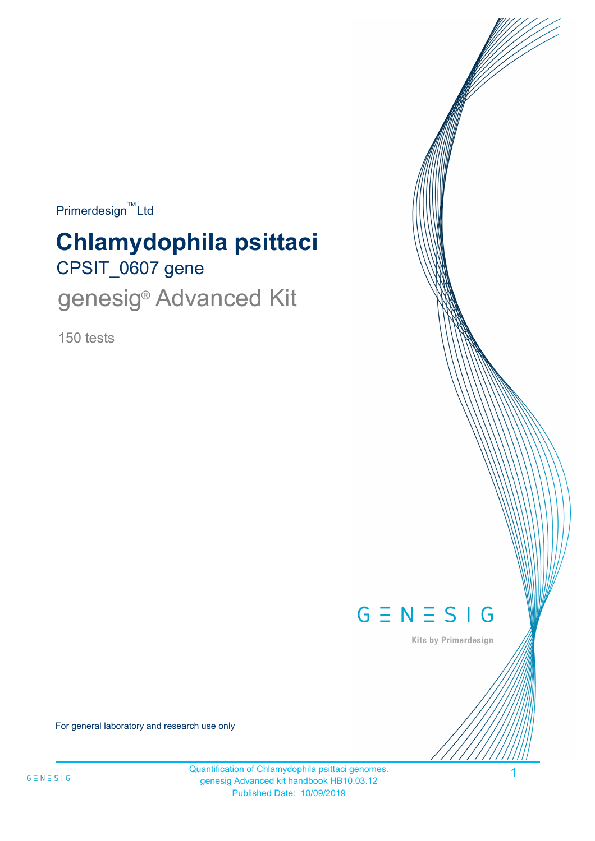$Primerdesign^{\text{TM}}$ Ltd

# CPSIT\_0607 gene **Chlamydophila psittaci** genesig<sup>®</sup> Advanced Kit

150 tests



Kits by Primerdesign

For general laboratory and research use only

Quantification of Chlamydophila psittaci genomes. genesig Advanced kit handbook HB10.03.12 Published Date: 10/09/2019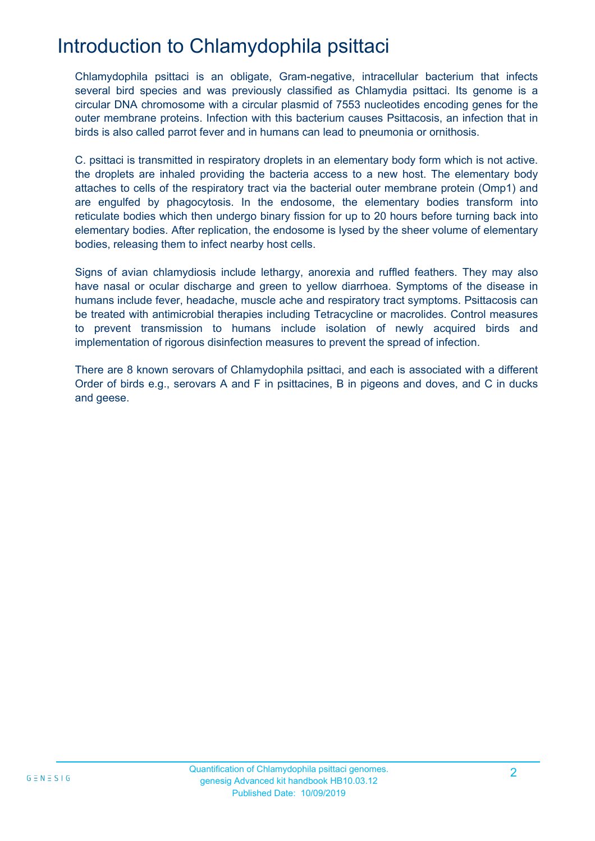# Introduction to Chlamydophila psittaci

Chlamydophila psittaci is an obligate, Gram-negative, intracellular bacterium that infects several bird species and was previously classified as Chlamydia psittaci. Its genome is a circular DNA chromosome with a circular plasmid of 7553 nucleotides encoding genes for the outer membrane proteins. Infection with this bacterium causes Psittacosis, an infection that in birds is also called parrot fever and in humans can lead to pneumonia or ornithosis.

C. psittaci is transmitted in respiratory droplets in an elementary body form which is not active. the droplets are inhaled providing the bacteria access to a new host. The elementary body attaches to cells of the respiratory tract via the bacterial outer membrane protein (Omp1) and are engulfed by phagocytosis. In the endosome, the elementary bodies transform into reticulate bodies which then undergo binary fission for up to 20 hours before turning back into elementary bodies. After replication, the endosome is lysed by the sheer volume of elementary bodies, releasing them to infect nearby host cells.

Signs of avian chlamydiosis include lethargy, anorexia and ruffled feathers. They may also have nasal or ocular discharge and green to yellow diarrhoea. Symptoms of the disease in humans include fever, headache, muscle ache and respiratory tract symptoms. Psittacosis can be treated with antimicrobial therapies including Tetracycline or macrolides. Control measures to prevent transmission to humans include isolation of newly acquired birds and implementation of rigorous disinfection measures to prevent the spread of infection.

There are 8 known serovars of Chlamydophila psittaci, and each is associated with a different Order of birds e.g., serovars A and F in psittacines, B in pigeons and doves, and C in ducks and geese.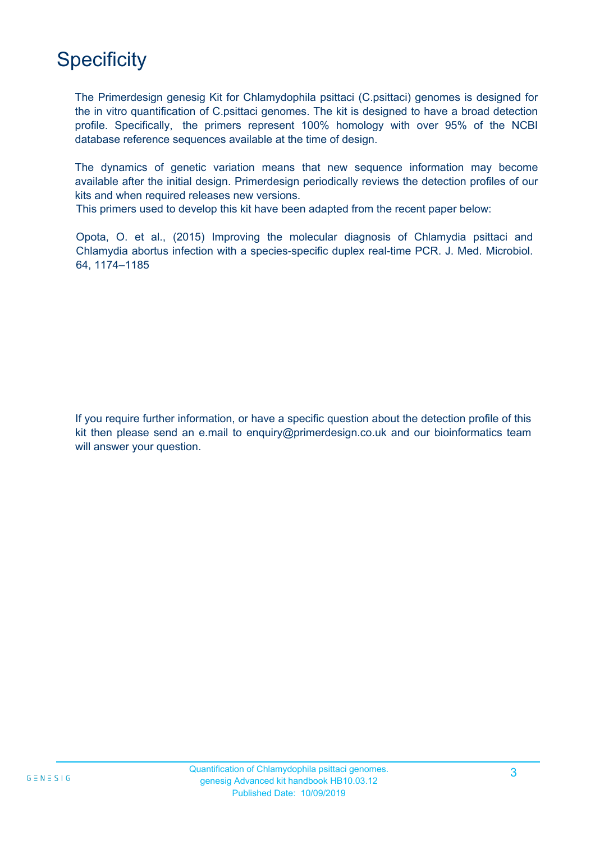# **Specificity**

MAX MIN The Primerdesign genesig Kit for Chlamydophila psittaci (C.psittaci) genomes is designed for the in vitro quantification of C.psittaci genomes. The kit is designed to have a broad detection profile. Specifically, the primers represent 100% homology with over 95% of the NCBI database reference sequences available at the time of design.

The dynamics of genetic variation means that new sequence information may become available after the initial design. Primerdesign periodically reviews the detection profiles of our kits and when required releases new versions.

This primers used to develop this kit have been adapted from the recent paper below:

Opota, O. et al., (2015) Improving the molecular diagnosis of Chlamydia psittaci and Chlamydia abortus infection with a species-specific duplex real-time PCR. J. Med. Microbiol. 64, 1174–1185

If you require further information, or have a specific question about the detection profile of this kit then please send an e.mail to enquiry@primerdesign.co.uk and our bioinformatics team will answer your question.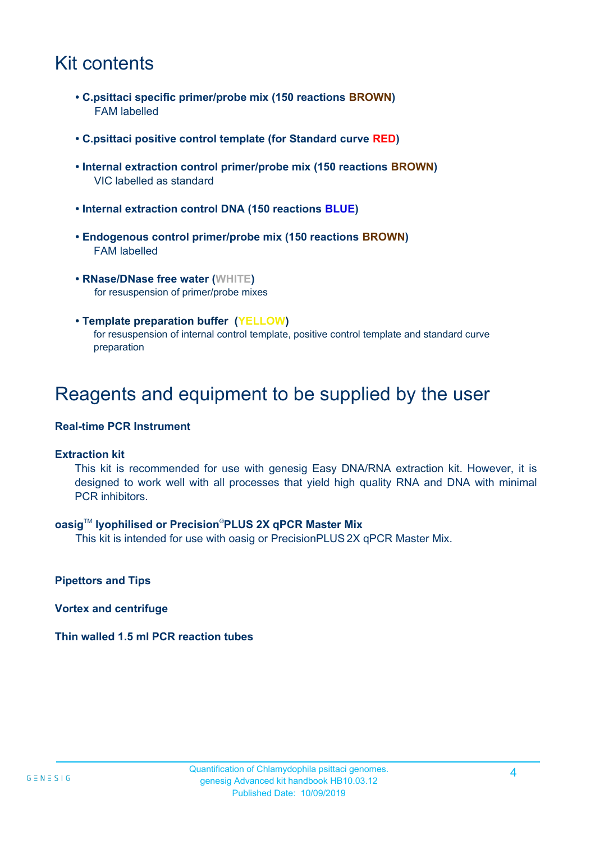### Kit contents

- **C.psittaci specific primer/probe mix (150 reactions BROWN)** FAM labelled
- **C.psittaci positive control template (for Standard curve RED)**
- **Internal extraction control primer/probe mix (150 reactions BROWN)** VIC labelled as standard
- **Internal extraction control DNA (150 reactions BLUE)**
- **Endogenous control primer/probe mix (150 reactions BROWN)** FAM labelled
- **RNase/DNase free water (WHITE)** for resuspension of primer/probe mixes
- **Template preparation buffer (YELLOW)** for resuspension of internal control template, positive control template and standard curve preparation

### Reagents and equipment to be supplied by the user

#### **Real-time PCR Instrument**

#### **Extraction kit**

This kit is recommended for use with genesig Easy DNA/RNA extraction kit. However, it is designed to work well with all processes that yield high quality RNA and DNA with minimal PCR inhibitors.

#### **oasig**TM **lyophilised or Precision**®**PLUS 2X qPCR Master Mix**

This kit is intended for use with oasig or PrecisionPLUS 2X qPCR Master Mix.

**Pipettors and Tips**

**Vortex and centrifuge**

**Thin walled 1.5 ml PCR reaction tubes**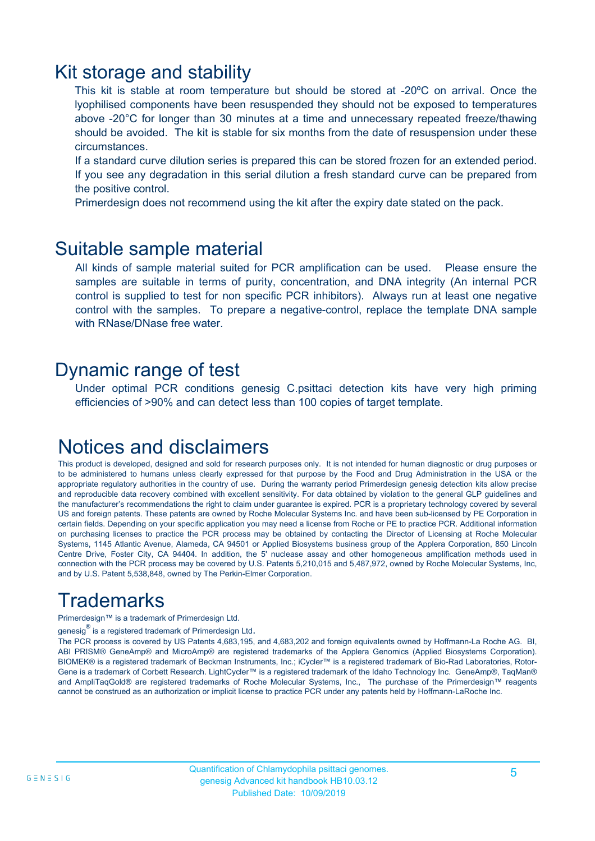### Kit storage and stability

This kit is stable at room temperature but should be stored at -20ºC on arrival. Once the lyophilised components have been resuspended they should not be exposed to temperatures above -20°C for longer than 30 minutes at a time and unnecessary repeated freeze/thawing should be avoided. The kit is stable for six months from the date of resuspension under these circumstances.

If a standard curve dilution series is prepared this can be stored frozen for an extended period. If you see any degradation in this serial dilution a fresh standard curve can be prepared from the positive control.

Primerdesign does not recommend using the kit after the expiry date stated on the pack.

### Suitable sample material

All kinds of sample material suited for PCR amplification can be used. Please ensure the samples are suitable in terms of purity, concentration, and DNA integrity (An internal PCR control is supplied to test for non specific PCR inhibitors). Always run at least one negative control with the samples. To prepare a negative-control, replace the template DNA sample with RNase/DNase free water.

### Dynamic range of test

Under optimal PCR conditions genesig C.psittaci detection kits have very high priming efficiencies of >90% and can detect less than 100 copies of target template.

### Notices and disclaimers

This product is developed, designed and sold for research purposes only. It is not intended for human diagnostic or drug purposes or to be administered to humans unless clearly expressed for that purpose by the Food and Drug Administration in the USA or the appropriate regulatory authorities in the country of use. During the warranty period Primerdesign genesig detection kits allow precise and reproducible data recovery combined with excellent sensitivity. For data obtained by violation to the general GLP guidelines and the manufacturer's recommendations the right to claim under guarantee is expired. PCR is a proprietary technology covered by several US and foreign patents. These patents are owned by Roche Molecular Systems Inc. and have been sub-licensed by PE Corporation in certain fields. Depending on your specific application you may need a license from Roche or PE to practice PCR. Additional information on purchasing licenses to practice the PCR process may be obtained by contacting the Director of Licensing at Roche Molecular Systems, 1145 Atlantic Avenue, Alameda, CA 94501 or Applied Biosystems business group of the Applera Corporation, 850 Lincoln Centre Drive, Foster City, CA 94404. In addition, the 5' nuclease assay and other homogeneous amplification methods used in connection with the PCR process may be covered by U.S. Patents 5,210,015 and 5,487,972, owned by Roche Molecular Systems, Inc, and by U.S. Patent 5,538,848, owned by The Perkin-Elmer Corporation.

# **Trademarks**

Primerdesign™ is a trademark of Primerdesign Ltd.

genesig $^\circledR$  is a registered trademark of Primerdesign Ltd.

The PCR process is covered by US Patents 4,683,195, and 4,683,202 and foreign equivalents owned by Hoffmann-La Roche AG. BI, ABI PRISM® GeneAmp® and MicroAmp® are registered trademarks of the Applera Genomics (Applied Biosystems Corporation). BIOMEK® is a registered trademark of Beckman Instruments, Inc.; iCycler™ is a registered trademark of Bio-Rad Laboratories, Rotor-Gene is a trademark of Corbett Research. LightCycler™ is a registered trademark of the Idaho Technology Inc. GeneAmp®, TaqMan® and AmpliTaqGold® are registered trademarks of Roche Molecular Systems, Inc., The purchase of the Primerdesign™ reagents cannot be construed as an authorization or implicit license to practice PCR under any patents held by Hoffmann-LaRoche Inc.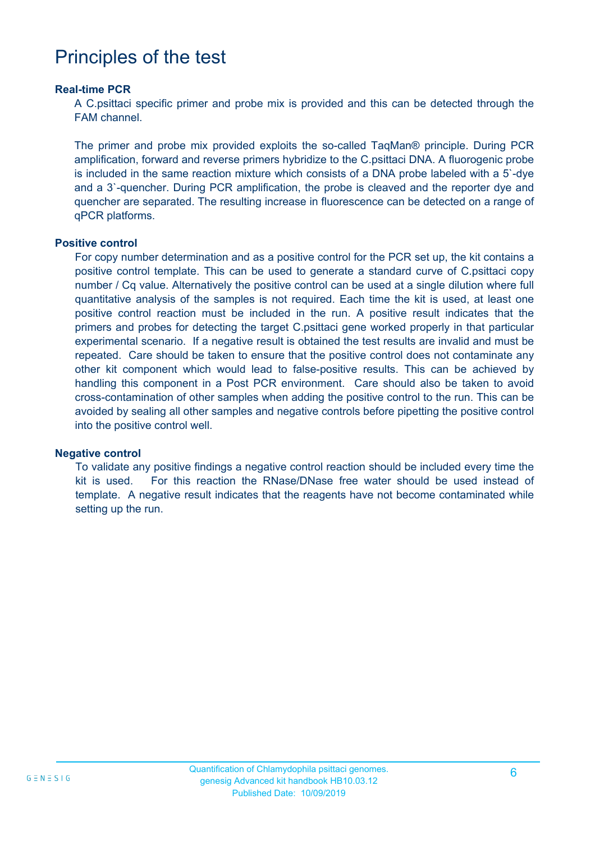### Principles of the test

#### **Real-time PCR**

A C.psittaci specific primer and probe mix is provided and this can be detected through the FAM channel.

The primer and probe mix provided exploits the so-called TaqMan® principle. During PCR amplification, forward and reverse primers hybridize to the C.psittaci DNA. A fluorogenic probe is included in the same reaction mixture which consists of a DNA probe labeled with a 5`-dye and a 3`-quencher. During PCR amplification, the probe is cleaved and the reporter dye and quencher are separated. The resulting increase in fluorescence can be detected on a range of qPCR platforms.

#### **Positive control**

For copy number determination and as a positive control for the PCR set up, the kit contains a positive control template. This can be used to generate a standard curve of C.psittaci copy number / Cq value. Alternatively the positive control can be used at a single dilution where full quantitative analysis of the samples is not required. Each time the kit is used, at least one positive control reaction must be included in the run. A positive result indicates that the primers and probes for detecting the target C.psittaci gene worked properly in that particular experimental scenario. If a negative result is obtained the test results are invalid and must be repeated. Care should be taken to ensure that the positive control does not contaminate any other kit component which would lead to false-positive results. This can be achieved by handling this component in a Post PCR environment. Care should also be taken to avoid cross-contamination of other samples when adding the positive control to the run. This can be avoided by sealing all other samples and negative controls before pipetting the positive control into the positive control well.

#### **Negative control**

To validate any positive findings a negative control reaction should be included every time the kit is used. For this reaction the RNase/DNase free water should be used instead of template. A negative result indicates that the reagents have not become contaminated while setting up the run.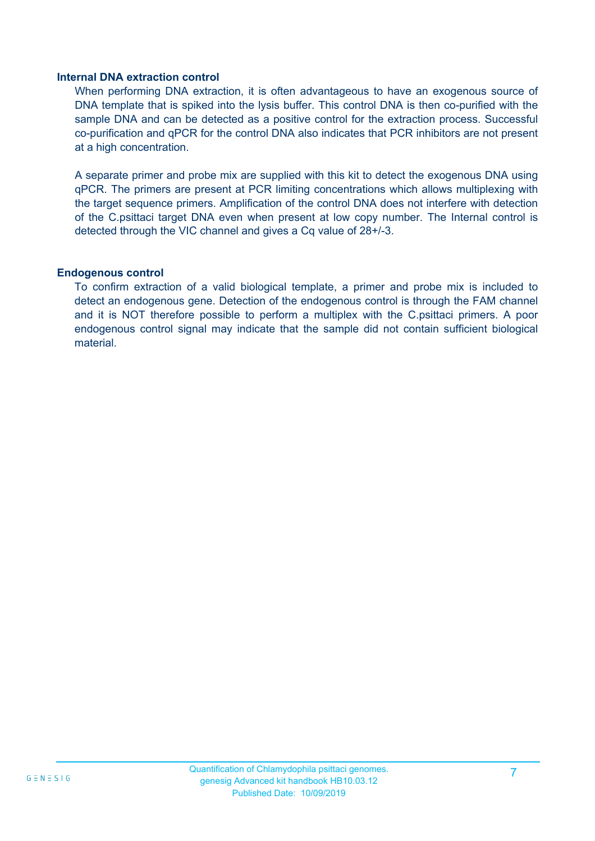#### **Internal DNA extraction control**

When performing DNA extraction, it is often advantageous to have an exogenous source of DNA template that is spiked into the lysis buffer. This control DNA is then co-purified with the sample DNA and can be detected as a positive control for the extraction process. Successful co-purification and qPCR for the control DNA also indicates that PCR inhibitors are not present at a high concentration.

A separate primer and probe mix are supplied with this kit to detect the exogenous DNA using qPCR. The primers are present at PCR limiting concentrations which allows multiplexing with the target sequence primers. Amplification of the control DNA does not interfere with detection of the C.psittaci target DNA even when present at low copy number. The Internal control is detected through the VIC channel and gives a Cq value of 28+/-3.

#### **Endogenous control**

To confirm extraction of a valid biological template, a primer and probe mix is included to detect an endogenous gene. Detection of the endogenous control is through the FAM channel and it is NOT therefore possible to perform a multiplex with the C.psittaci primers. A poor endogenous control signal may indicate that the sample did not contain sufficient biological material.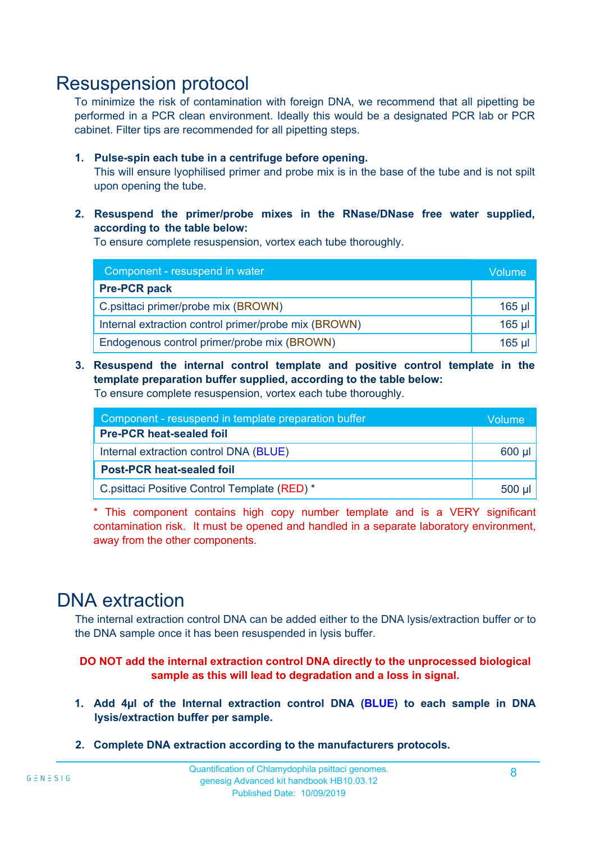### Resuspension protocol

To minimize the risk of contamination with foreign DNA, we recommend that all pipetting be performed in a PCR clean environment. Ideally this would be a designated PCR lab or PCR cabinet. Filter tips are recommended for all pipetting steps.

#### **1. Pulse-spin each tube in a centrifuge before opening.**

This will ensure lyophilised primer and probe mix is in the base of the tube and is not spilt upon opening the tube.

#### **2. Resuspend the primer/probe mixes in the RNase/DNase free water supplied, according to the table below:**

To ensure complete resuspension, vortex each tube thoroughly.

| Component - resuspend in water                       |          |  |  |
|------------------------------------------------------|----------|--|--|
| <b>Pre-PCR pack</b>                                  |          |  |  |
| C.psittaci primer/probe mix (BROWN)                  | $165$ µl |  |  |
| Internal extraction control primer/probe mix (BROWN) | $165$ µl |  |  |
| Endogenous control primer/probe mix (BROWN)          | $165$ µ  |  |  |

**3. Resuspend the internal control template and positive control template in the template preparation buffer supplied, according to the table below:**

To ensure complete resuspension, vortex each tube thoroughly.

| Component - resuspend in template preparation buffer |          |  |
|------------------------------------------------------|----------|--|
| <b>Pre-PCR heat-sealed foil</b>                      |          |  |
| Internal extraction control DNA (BLUE)               |          |  |
| <b>Post-PCR heat-sealed foil</b>                     |          |  |
| C.psittaci Positive Control Template (RED) *         | $500$ µl |  |

\* This component contains high copy number template and is a VERY significant contamination risk. It must be opened and handled in a separate laboratory environment, away from the other components.

### DNA extraction

The internal extraction control DNA can be added either to the DNA lysis/extraction buffer or to the DNA sample once it has been resuspended in lysis buffer.

**DO NOT add the internal extraction control DNA directly to the unprocessed biological sample as this will lead to degradation and a loss in signal.**

- **1. Add 4µl of the Internal extraction control DNA (BLUE) to each sample in DNA lysis/extraction buffer per sample.**
- **2. Complete DNA extraction according to the manufacturers protocols.**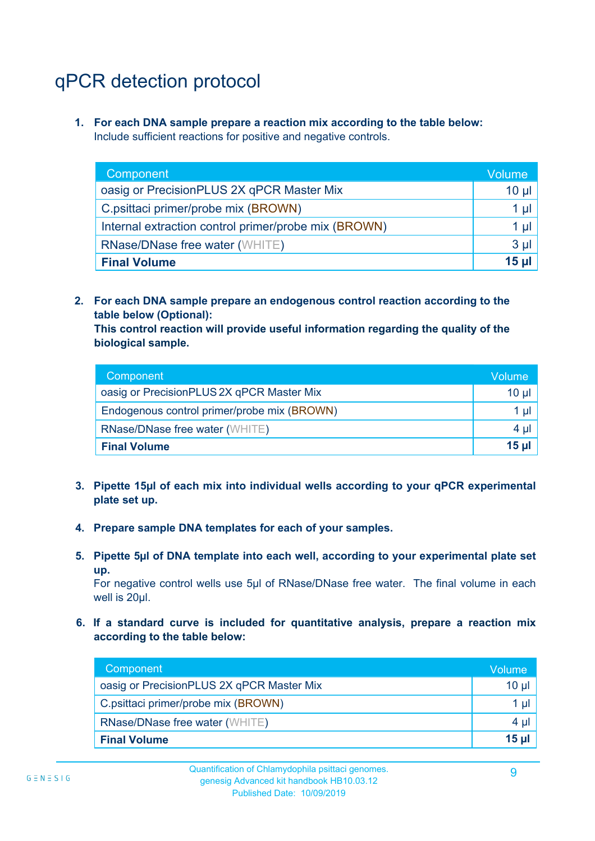# qPCR detection protocol

**1. For each DNA sample prepare a reaction mix according to the table below:** Include sufficient reactions for positive and negative controls.

| Component                                            | Volume   |
|------------------------------------------------------|----------|
| oasig or PrecisionPLUS 2X qPCR Master Mix            | $10 \mu$ |
| C.psittaci primer/probe mix (BROWN)                  | 1 µI     |
| Internal extraction control primer/probe mix (BROWN) | 1 µl     |
| <b>RNase/DNase free water (WHITE)</b>                | $3 \mu$  |
| <b>Final Volume</b>                                  | 15 ul    |

**2. For each DNA sample prepare an endogenous control reaction according to the table below (Optional):**

**This control reaction will provide useful information regarding the quality of the biological sample.**

| Component                                   | Volume'         |
|---------------------------------------------|-----------------|
| oasig or PrecisionPLUS 2X qPCR Master Mix   | $10 \mu$        |
| Endogenous control primer/probe mix (BROWN) | 1 µl            |
| <b>RNase/DNase free water (WHITE)</b>       | $4 \mu$         |
| <b>Final Volume</b>                         | 15 <sub>µ</sub> |

- **3. Pipette 15µl of each mix into individual wells according to your qPCR experimental plate set up.**
- **4. Prepare sample DNA templates for each of your samples.**
- **5. Pipette 5µl of DNA template into each well, according to your experimental plate set up.**

For negative control wells use 5µl of RNase/DNase free water. The final volume in each well is 20ul.

**6. If a standard curve is included for quantitative analysis, prepare a reaction mix according to the table below:**

| Component                                 | Volume  |
|-------------------------------------------|---------|
| oasig or PrecisionPLUS 2X qPCR Master Mix | 10 µl   |
| C.psittaci primer/probe mix (BROWN)       | 1 µl    |
| <b>RNase/DNase free water (WHITE)</b>     | $4 \mu$ |
| <b>Final Volume</b>                       | $15$ µ  |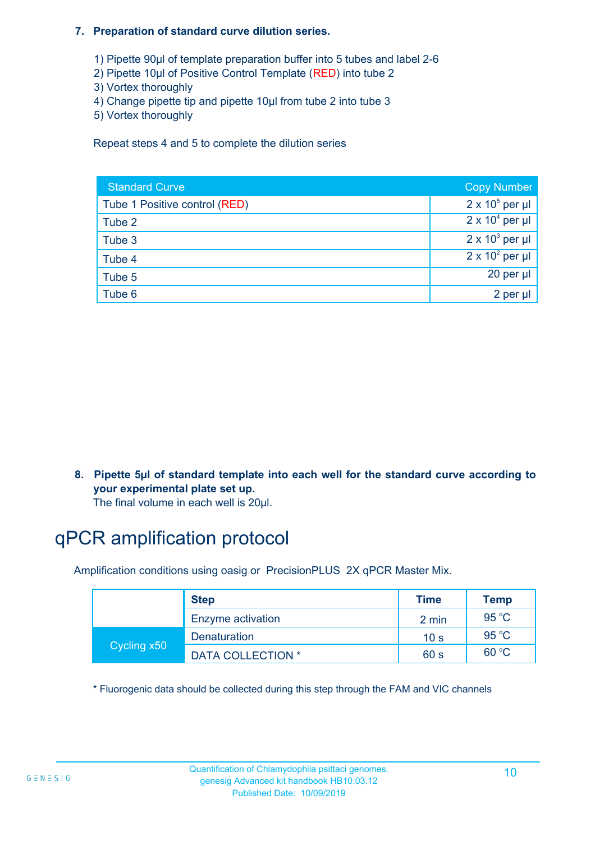#### **7. Preparation of standard curve dilution series.**

- 1) Pipette 90µl of template preparation buffer into 5 tubes and label 2-6
- 2) Pipette 10µl of Positive Control Template (RED) into tube 2
- 3) Vortex thoroughly
- 4) Change pipette tip and pipette 10µl from tube 2 into tube 3
- 5) Vortex thoroughly

Repeat steps 4 and 5 to complete the dilution series International Units No international units  $\frac{1}{2}$ 

| <b>Standard Curve</b>         | <b>Copy Number</b>     |
|-------------------------------|------------------------|
| Tube 1 Positive control (RED) | $2 \times 10^5$ per µl |
| Tube 2                        | $2 \times 10^4$ per µl |
| Tube 3                        | $2 \times 10^3$ per µl |
| Tube 4                        | $2 \times 10^2$ per µl |
| Tube 5                        | 20 per µl              |
| Tube 6                        | 2 per µl               |

**8. Pipette 5µl of standard template into each well for the standard curve according to your experimental plate set up.**

The final volume in each well is 20µl.

# qPCR amplification protocol

Amplification conditions using oasig or PrecisionPLUS 2X qPCR Master Mix.

|             | <b>Step</b>              | <b>Time</b>     | <b>Temp</b> |
|-------------|--------------------------|-----------------|-------------|
|             | Enzyme activation        | 2 min           | 95 $°C$     |
| Cycling x50 | <b>Denaturation</b>      | 10 <sub>s</sub> | 95 $°C$     |
|             | <b>DATA COLLECTION *</b> | 60 s            | 60 °C       |

\* Fluorogenic data should be collected during this step through the FAM and VIC channels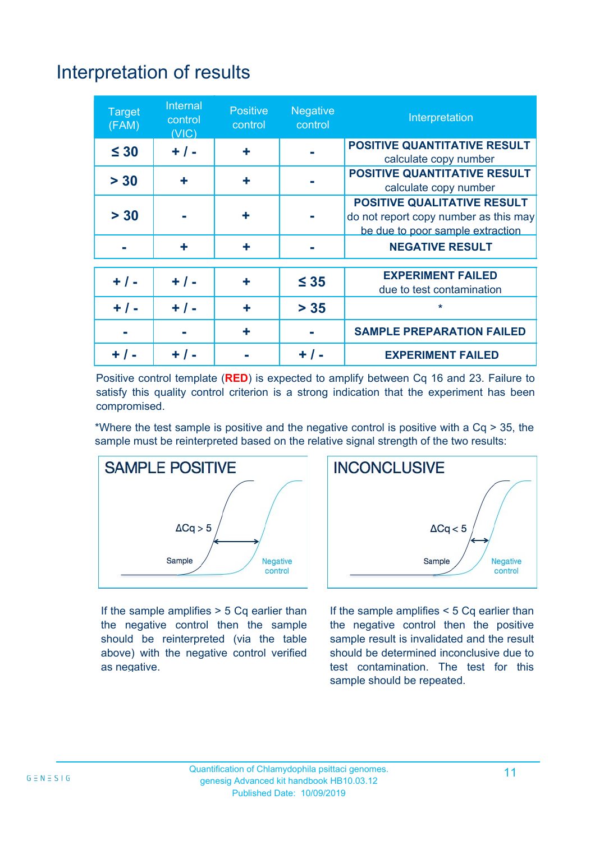# Interpretation of results

| <b>Target</b><br>(FAM) | Internal<br>control<br>(VIC) | <b>Positive</b><br>control | <b>Negative</b><br>control | Interpretation                                                                                                  |
|------------------------|------------------------------|----------------------------|----------------------------|-----------------------------------------------------------------------------------------------------------------|
| $\leq 30$              | $+ / -$                      | ٠                          |                            | <b>POSITIVE QUANTITATIVE RESULT</b><br>calculate copy number                                                    |
| > 30                   | ٠                            | ÷                          |                            | <b>POSITIVE QUANTITATIVE RESULT</b><br>calculate copy number                                                    |
| > 30                   |                              | ٠                          |                            | <b>POSITIVE QUALITATIVE RESULT</b><br>do not report copy number as this may<br>be due to poor sample extraction |
|                        | ٠                            | ٠                          |                            | <b>NEGATIVE RESULT</b>                                                                                          |
| $+ 1 -$                | $+ 1 -$                      | ÷                          | $\leq 35$                  | <b>EXPERIMENT FAILED</b><br>due to test contamination                                                           |
| $+ / -$                | $+ / -$                      | ÷                          | $> 35$                     | *                                                                                                               |
|                        |                              | ٠                          |                            | <b>SAMPLE PREPARATION FAILED</b>                                                                                |
|                        |                              |                            | + / -                      | <b>EXPERIMENT FAILED</b>                                                                                        |

Positive control template (**RED**) is expected to amplify between Cq 16 and 23. Failure to satisfy this quality control criterion is a strong indication that the experiment has been compromised.

\*Where the test sample is positive and the negative control is positive with a Cq > 35, the sample must be reinterpreted based on the relative signal strength of the two results:



If the sample amplifies  $> 5$  Cq earlier than the negative control then the sample should be reinterpreted (via the table above) with the negative control verified as negative.



If the sample amplifies < 5 Cq earlier than the negative control then the positive sample result is invalidated and the result should be determined inconclusive due to test contamination. The test for this sample should be repeated.